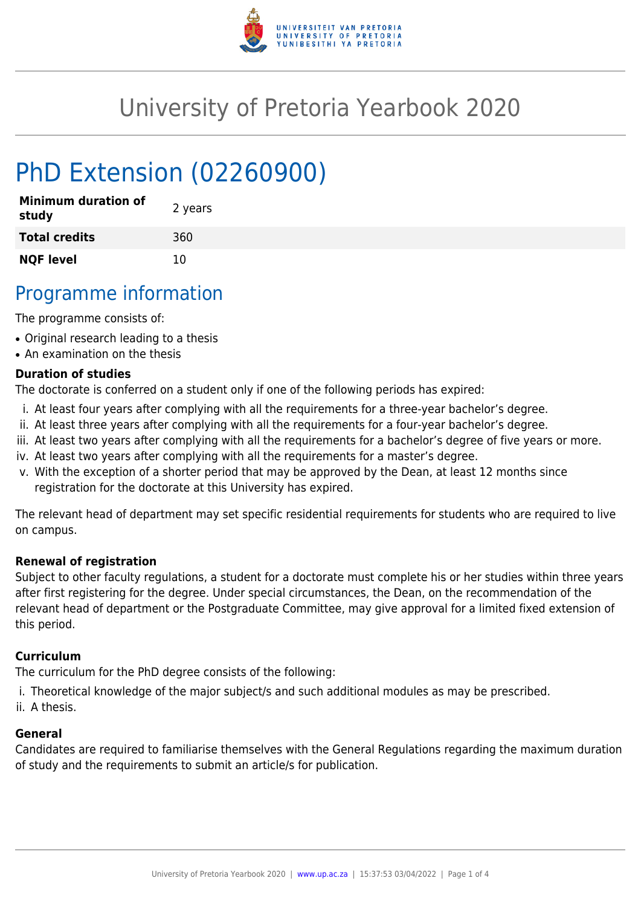

# University of Pretoria Yearbook 2020

# PhD Extension (02260900)

| <b>Minimum duration of</b><br>study | 2 years |
|-------------------------------------|---------|
| <b>Total credits</b>                | 360     |
| <b>NQF level</b>                    | 10      |

## Programme information

The programme consists of:

- Original research leading to a thesis
- An examination on the thesis

#### **Duration of studies**

The doctorate is conferred on a student only if one of the following periods has expired:

- i. At least four years after complying with all the requirements for a three-year bachelor's degree.
- ii. At least three years after complying with all the requirements for a four-year bachelor's degree.
- iii. At least two years after complying with all the requirements for a bachelor's degree of five years or more.
- iv. At least two years after complying with all the requirements for a master's degree.
- v. With the exception of a shorter period that may be approved by the Dean, at least 12 months since registration for the doctorate at this University has expired.

The relevant head of department may set specific residential requirements for students who are required to live on campus.

#### **Renewal of registration**

Subject to other faculty regulations, a student for a doctorate must complete his or her studies within three years after first registering for the degree. Under special circumstances, the Dean, on the recommendation of the relevant head of department or the Postgraduate Committee, may give approval for a limited fixed extension of this period.

#### **Curriculum**

The curriculum for the PhD degree consists of the following:

- i. Theoretical knowledge of the major subject/s and such additional modules as may be prescribed.
- ii. A thesis.

#### **General**

Candidates are required to familiarise themselves with the General Regulations regarding the maximum duration of study and the requirements to submit an article/s for publication.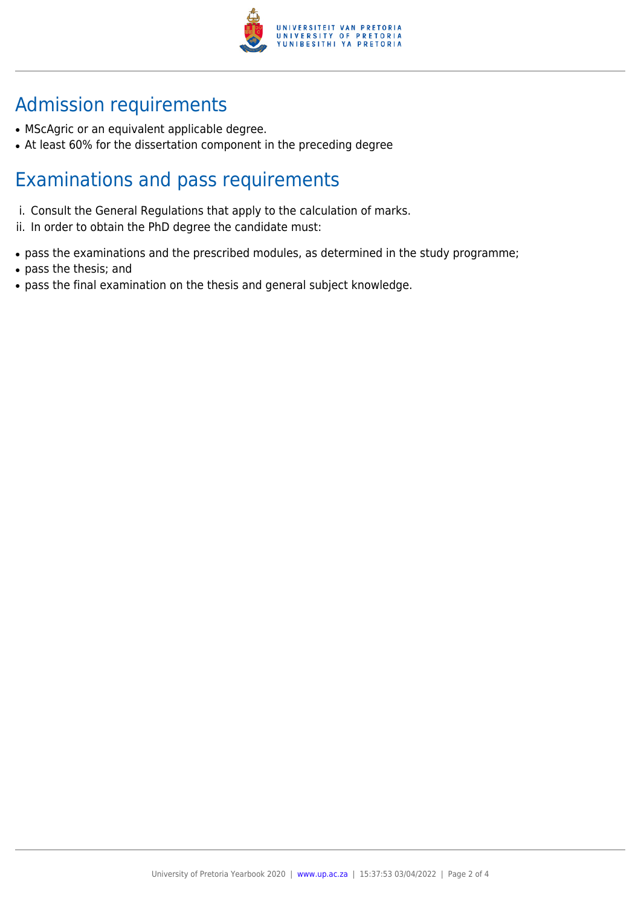

## Admission requirements

- MScAgric or an equivalent applicable degree.
- At least 60% for the dissertation component in the preceding degree

## Examinations and pass requirements

- i. Consult the General Regulations that apply to the calculation of marks.
- ii. In order to obtain the PhD degree the candidate must:
- pass the examinations and the prescribed modules, as determined in the study programme;
- pass the thesis; and
- pass the final examination on the thesis and general subject knowledge.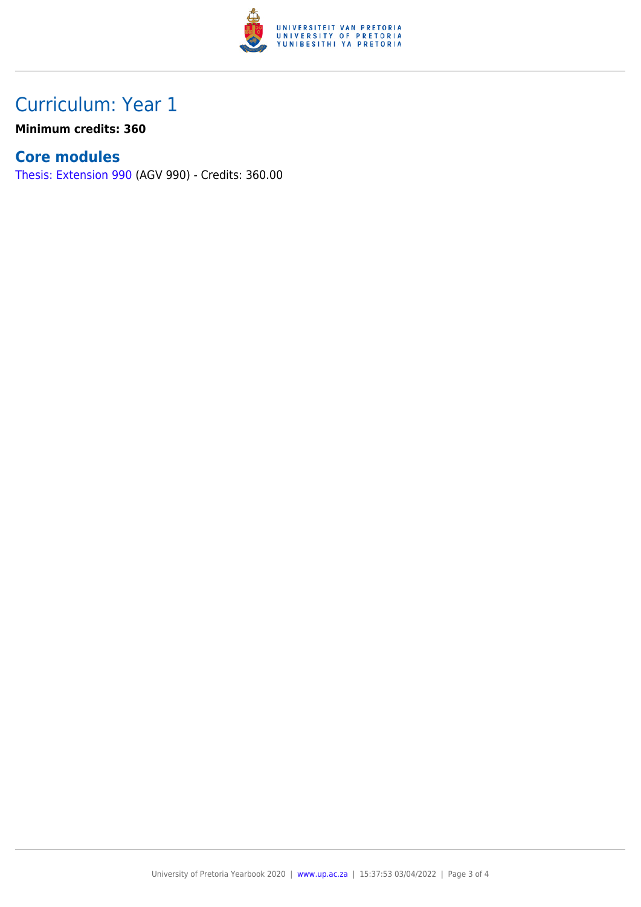

### Curriculum: Year 1

**Minimum credits: 360**

### **Core modules**

[Thesis: Extension 990](https://www.up.ac.za/yearbooks/2020/modules/view/AGV 990) (AGV 990) - Credits: 360.00